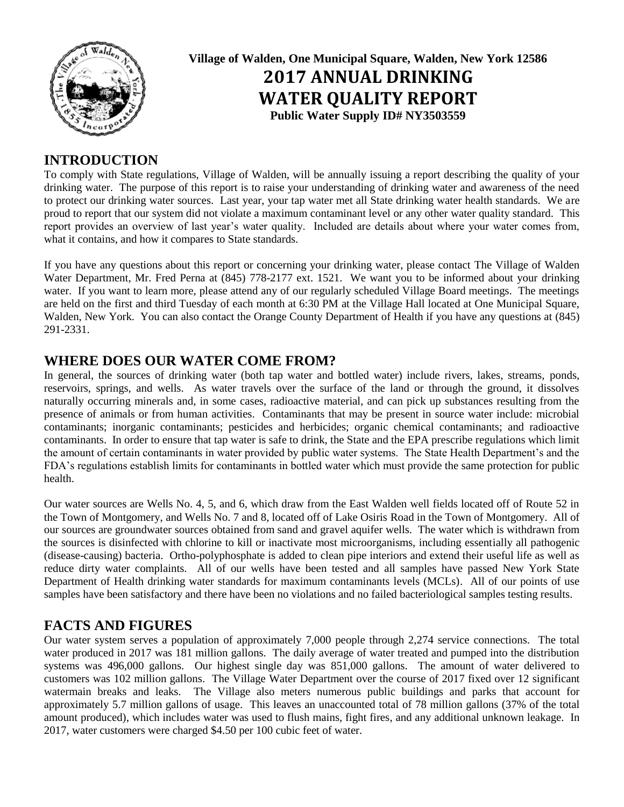

**Village of Walden, One Municipal Square, Walden, New York 12586 2017 ANNUAL DRINKING WATER QUALITY REPORT Public Water Supply ID# NY3503559**

## **INTRODUCTION**

To comply with State regulations, Village of Walden, will be annually issuing a report describing the quality of your drinking water. The purpose of this report is to raise your understanding of drinking water and awareness of the need to protect our drinking water sources. Last year, your tap water met all State drinking water health standards. We are proud to report that our system did not violate a maximum contaminant level or any other water quality standard. This report provides an overview of last year's water quality. Included are details about where your water comes from, what it contains, and how it compares to State standards.

If you have any questions about this report or concerning your drinking water, please contact The Village of Walden Water Department, Mr. Fred Perna at (845) 778-2177 ext. 1521. We want you to be informed about your drinking water. If you want to learn more, please attend any of our regularly scheduled Village Board meetings. The meetings are held on the first and third Tuesday of each month at 6:30 PM at the Village Hall located at One Municipal Square, Walden, New York. You can also contact the Orange County Department of Health if you have any questions at (845) 291-2331.

#### **WHERE DOES OUR WATER COME FROM?**

In general, the sources of drinking water (both tap water and bottled water) include rivers, lakes, streams, ponds, reservoirs, springs, and wells. As water travels over the surface of the land or through the ground, it dissolves naturally occurring minerals and, in some cases, radioactive material, and can pick up substances resulting from the presence of animals or from human activities. Contaminants that may be present in source water include: microbial contaminants; inorganic contaminants; pesticides and herbicides; organic chemical contaminants; and radioactive contaminants. In order to ensure that tap water is safe to drink, the State and the EPA prescribe regulations which limit the amount of certain contaminants in water provided by public water systems. The State Health Department's and the FDA's regulations establish limits for contaminants in bottled water which must provide the same protection for public health.

Our water sources are Wells No. 4, 5, and 6, which draw from the East Walden well fields located off of Route 52 in the Town of Montgomery, and Wells No. 7 and 8, located off of Lake Osiris Road in the Town of Montgomery. All of our sources are groundwater sources obtained from sand and gravel aquifer wells. The water which is withdrawn from the sources is disinfected with chlorine to kill or inactivate most microorganisms, including essentially all pathogenic (disease-causing) bacteria. Ortho-polyphosphate is added to clean pipe interiors and extend their useful life as well as reduce dirty water complaints. All of our wells have been tested and all samples have passed New York State Department of Health drinking water standards for maximum contaminants levels (MCLs). All of our points of use samples have been satisfactory and there have been no violations and no failed bacteriological samples testing results.

#### **FACTS AND FIGURES**

Our water system serves a population of approximately 7,000 people through 2,274 service connections. The total water produced in 2017 was 181 million gallons. The daily average of water treated and pumped into the distribution systems was 496,000 gallons. Our highest single day was 851,000 gallons. The amount of water delivered to customers was 102 million gallons. The Village Water Department over the course of 2017 fixed over 12 significant watermain breaks and leaks. The Village also meters numerous public buildings and parks that account for approximately 5.7 million gallons of usage. This leaves an unaccounted total of 78 million gallons (37% of the total amount produced), which includes water was used to flush mains, fight fires, and any additional unknown leakage. In 2017, water customers were charged \$4.50 per 100 cubic feet of water.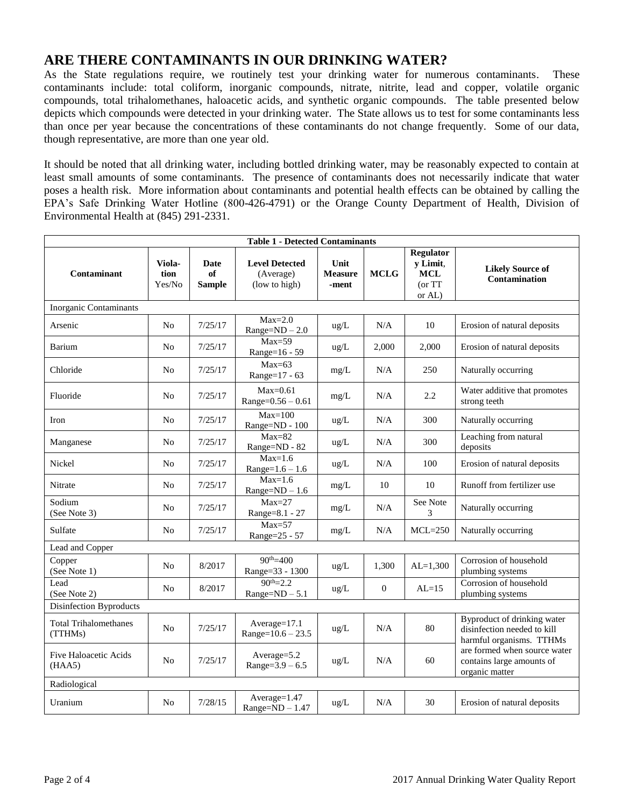## **ARE THERE CONTAMINANTS IN OUR DRINKING WATER?**

As the State regulations require, we routinely test your drinking water for numerous contaminants. These contaminants include: total coliform, inorganic compounds, nitrate, nitrite, lead and copper, volatile organic compounds, total trihalomethanes, haloacetic acids, and synthetic organic compounds. The table presented below depicts which compounds were detected in your drinking water. The State allows us to test for some contaminants less than once per year because the concentrations of these contaminants do not change frequently. Some of our data, though representative, are more than one year old.

It should be noted that all drinking water, including bottled drinking water, may be reasonably expected to contain at least small amounts of some contaminants. The presence of contaminants does not necessarily indicate that water poses a health risk. More information about contaminants and potential health effects can be obtained by calling the EPA's Safe Drinking Water Hotline (800-426-4791) or the Orange County Department of Health, Division of Environmental Health at (845) 291-2331.

| <b>Table 1 - Detected Contaminants</b>  |                          |                                    |                                                     |                                 |                  |                                                                 |                                                                                        |
|-----------------------------------------|--------------------------|------------------------------------|-----------------------------------------------------|---------------------------------|------------------|-----------------------------------------------------------------|----------------------------------------------------------------------------------------|
| Contaminant                             | Viola-<br>tion<br>Yes/No | <b>Date</b><br>of<br><b>Sample</b> | <b>Level Detected</b><br>(Average)<br>(low to high) | Unit<br><b>Measure</b><br>-ment | <b>MCLG</b>      | <b>Regulator</b><br>y Limit,<br><b>MCL</b><br>(or TT)<br>or AL) | <b>Likely Source of</b><br>Contamination                                               |
| Inorganic Contaminants                  |                          |                                    |                                                     |                                 |                  |                                                                 |                                                                                        |
| Arsenic                                 | N <sub>0</sub>           | 7/25/17                            | $Max=2.0$<br>$Range = ND - 2.0$                     | ug/L                            | N/A              | 10                                                              | Erosion of natural deposits                                                            |
| Barium                                  | N <sub>o</sub>           | 7/25/17                            | $Max=59$<br>Range=16 - 59                           | ug/L                            | 2,000            | 2,000                                                           | Erosion of natural deposits                                                            |
| Chloride                                | N <sub>0</sub>           | 7/25/17                            | $Max=63$<br>Range=17 - 63                           | mg/L                            | N/A              | 250                                                             | Naturally occurring                                                                    |
| Fluoride                                | N <sub>0</sub>           | 7/25/17                            | $Max=0.61$<br>$Range=0.56 - 0.61$                   | mg/L                            | N/A              | 2.2                                                             | Water additive that promotes<br>strong teeth                                           |
| Iron                                    | N <sub>0</sub>           | 7/25/17                            | $Max=100$<br>Range=ND - 100                         | ug/L                            | N/A              | 300                                                             | Naturally occurring                                                                    |
| Manganese                               | N <sub>o</sub>           | 7/25/17                            | $Max=82$<br>Range=ND - 82                           | ug/L                            | N/A              | 300                                                             | Leaching from natural<br>deposits                                                      |
| Nickel                                  | No                       | 7/25/17                            | $Max=1.6$<br>$Range=1.6 - 1.6$                      | $ug/L$                          | N/A              | 100                                                             | Erosion of natural deposits                                                            |
| Nitrate                                 | N <sub>0</sub>           | 7/25/17                            | $Max=1.6$<br>$Range = ND - 1.6$                     | mg/L                            | 10               | 10                                                              | Runoff from fertilizer use                                                             |
| Sodium<br>(See Note 3)                  | N <sub>0</sub>           | 7/25/17                            | $Max=27$<br>Range=8.1 - 27                          | mg/L                            | N/A              | See Note<br>3                                                   | Naturally occurring                                                                    |
| Sulfate                                 | N <sub>o</sub>           | 7/25/17                            | $Max=57$<br>Range=25 - 57                           | mg/L                            | N/A              | $MCL = 250$                                                     | Naturally occurring                                                                    |
| Lead and Copper                         |                          |                                    |                                                     |                                 |                  |                                                                 |                                                                                        |
| Copper<br>(See Note 1)                  | N <sub>o</sub>           | 8/2017                             | $90^{th} = 400$<br>Range=33 - 1300                  | ug/L                            | 1,300            | $AL=1,300$                                                      | Corrosion of household<br>plumbing systems                                             |
| Lead<br>(See Note 2)                    | N <sub>o</sub>           | 8/2017                             | $90^{th} = 2.2$<br>$Range = ND - 5.1$               | ug/L                            | $\boldsymbol{0}$ | $AL=15$                                                         | Corrosion of household<br>plumbing systems                                             |
| Disinfection Byproducts                 |                          |                                    |                                                     |                                 |                  |                                                                 |                                                                                        |
| <b>Total Trihalomethanes</b><br>(TTHMs) | No                       | 7/25/17                            | Average=17.1<br>$Range=10.6 - 23.5$                 | ug/L                            | N/A              | 80                                                              | Byproduct of drinking water<br>disinfection needed to kill<br>harmful organisms. TTHMs |
| Five Haloacetic Acids<br>(HAA5)         | N <sub>o</sub>           | 7/25/17                            | Average=5.2<br>Range= $3.9 - 6.5$                   | ug/L                            | N/A              | 60                                                              | are formed when source water<br>contains large amounts of<br>organic matter            |
| Radiological                            |                          |                                    |                                                     |                                 |                  |                                                                 |                                                                                        |
| Uranium                                 | No                       | 7/28/15                            | Average=1.47<br>$Range = ND - 1.47$                 | ug/L                            | N/A              | 30                                                              | Erosion of natural deposits                                                            |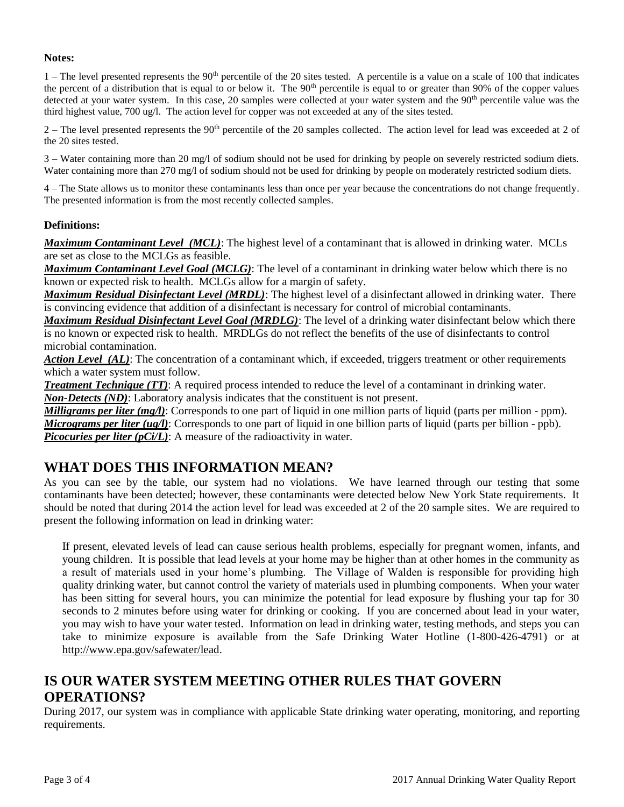#### **Notes:**

 $1$  – The level presented represents the 90<sup>th</sup> percentile of the 20 sites tested. A percentile is a value on a scale of 100 that indicates the percent of a distribution that is equal to or below it. The  $90<sup>th</sup>$  percentile is equal to or greater than  $90\%$  of the copper values detected at your water system. In this case, 20 samples were collected at your water system and the 90<sup>th</sup> percentile value was the third highest value, 700 ug/l. The action level for copper was not exceeded at any of the sites tested.

 $2$  – The level presented represents the 90<sup>th</sup> percentile of the 20 samples collected. The action level for lead was exceeded at 2 of the 20 sites tested.

3 – Water containing more than 20 mg/l of sodium should not be used for drinking by people on severely restricted sodium diets. Water containing more than 270 mg/l of sodium should not be used for drinking by people on moderately restricted sodium diets.

4 – The State allows us to monitor these contaminants less than once per year because the concentrations do not change frequently. The presented information is from the most recently collected samples.

#### **Definitions:**

*Maximum Contaminant Level (MCL)*: The highest level of a contaminant that is allowed in drinking water. MCLs are set as close to the MCLGs as feasible.

*Maximum Contaminant Level Goal (MCLG)*: The level of a contaminant in drinking water below which there is no known or expected risk to health. MCLGs allow for a margin of safety.

*Maximum Residual Disinfectant Level (MRDL)*: The highest level of a disinfectant allowed in drinking water. There is convincing evidence that addition of a disinfectant is necessary for control of microbial contaminants.

*Maximum Residual Disinfectant Level Goal (MRDLG)*: The level of a drinking water disinfectant below which there is no known or expected risk to health. MRDLGs do not reflect the benefits of the use of disinfectants to control microbial contamination.

*Action Level (AL)*: The concentration of a contaminant which, if exceeded, triggers treatment or other requirements which a water system must follow.

*Treatment Technique (TT)*: A required process intended to reduce the level of a contaminant in drinking water. *Non-Detects (ND)*: Laboratory analysis indicates that the constituent is not present.

*Milligrams per liter (mg/l)*: Corresponds to one part of liquid in one million parts of liquid (parts per million - ppm). *Micrograms per liter (ug/l)*: Corresponds to one part of liquid in one billion parts of liquid (parts per billion - ppb). *Picocuries per liter (pCi/L)*: A measure of the radioactivity in water.

#### **WHAT DOES THIS INFORMATION MEAN?**

As you can see by the table, our system had no violations. We have learned through our testing that some contaminants have been detected; however, these contaminants were detected below New York State requirements. It should be noted that during 2014 the action level for lead was exceeded at 2 of the 20 sample sites. We are required to present the following information on lead in drinking water:

If present, elevated levels of lead can cause serious health problems, especially for pregnant women, infants, and young children. It is possible that lead levels at your home may be higher than at other homes in the community as a result of materials used in your home's plumbing. The Village of Walden is responsible for providing high quality drinking water, but cannot control the variety of materials used in plumbing components. When your water has been sitting for several hours, you can minimize the potential for lead exposure by flushing your tap for 30 seconds to 2 minutes before using water for drinking or cooking. If you are concerned about lead in your water, you may wish to have your water tested. Information on lead in drinking water, testing methods, and steps you can take to minimize exposure is available from the Safe Drinking Water Hotline (1-800-426-4791) or at http://www.epa.gov/safewater/lead.

#### **IS OUR WATER SYSTEM MEETING OTHER RULES THAT GOVERN OPERATIONS?**

During 2017, our system was in compliance with applicable State drinking water operating, monitoring, and reporting requirements.